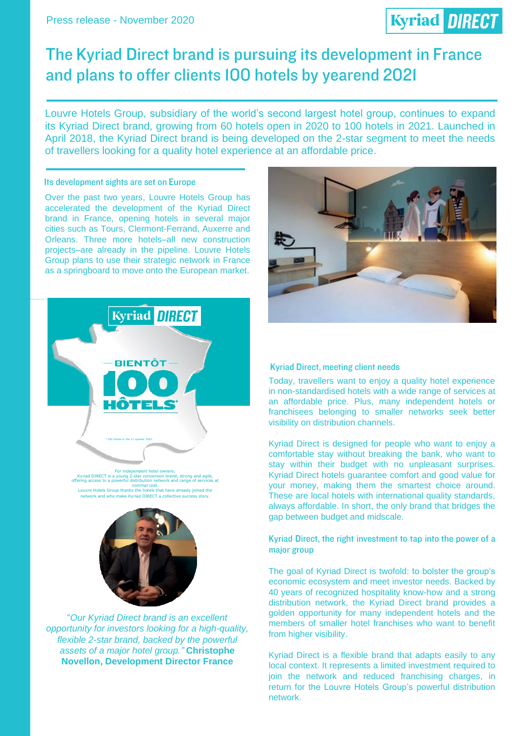# **Kyriad DIRECT**

## The Kyriad Direct brand is pursuing its development in France and plans to offer clients IOO hotels by yearend 2021

Louvre Hotels Group, subsidiary of the world's second largest hotel group, continues to expand its Kyriad Direct brand, growing from 60 hotels open in 2020 to 100 hotels in 2021. Launched in April 2018, the Kyriad Direct brand is being developed on the 2-star segment to meet the needs of travellers looking for a quality hotel experience at an affordable price.

#### Its development sights are set on Europe

Over the past two years, Louvre Hotels Group has accelerated the development of the Kyriad Direct brand in France, opening hotels in several major cities such as Tours, Clermont-Ferrand, Auxerre and Orleans. Three more hotels–all new construction projects–are already in the pipeline. Louvre Hotels Group plans to use their strategic network in France as a springboard to move onto the European market.





#### **Kyriad Direct, meeting client needs**

Today, travellers want to enjoy a quality hotel experience in non-standardised hotels with a wide range of services at an affordable price. Plus, many independent hotels or franchisees belonging to smaller networks seek better visibility on distribution channels.

Kyriad Direct is designed for people who want to enjoy a comfortable stay without breaking the bank, who want to stay within their budget with no unpleasant surprises. Kyriad Direct hotels guarantee comfort and good value for your money, making them the smartest choice around. These are local hotels with international quality standards, always affordable. In short, the only brand that bridges the gap between budget and midscale.

### Kyriad Direct, the right investment to tap into the power of a major group

The goal of Kyriad Direct is twofold: to bolster the group's economic ecosystem and meet investor needs. Backed by 40 years of recognized hospitality know-how and a strong distribution network, the Kyriad Direct brand provides a golden opportunity for many independent hotels and the members of smaller hotel franchises who want to benefit from higher visibility.

Kyriad Direct is a flexible brand that adapts easily to any local context. It represents a limited investment required to join the network and reduced franchising charges, in return for the Louvre Hotels Group's powerful distribution network.